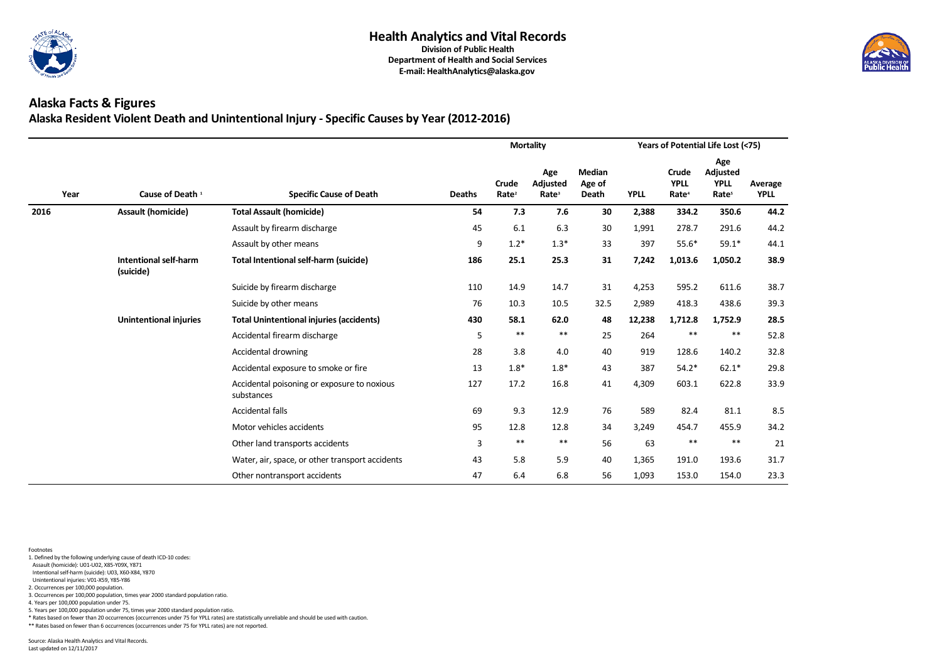

## **Alaska Facts & Figures Alaska Resident Violent Death and Unintentional Injury - Specific Causes by Year (2012-2016)**

|      |                                           |                                                           |                  |                                   | <b>Mortality</b>                     |                                         |             |                                                  | Years of Potential Life Lost (<75)                  |                        |
|------|-------------------------------------------|-----------------------------------------------------------|------------------|-----------------------------------|--------------------------------------|-----------------------------------------|-------------|--------------------------------------------------|-----------------------------------------------------|------------------------|
| Year | Cause of Death 1                          | <b>Specific Cause of Death</b>                            | <b>Deaths</b>    | <b>Crude</b><br>Rate <sup>2</sup> | Age<br>Adjusted<br>Rate <sup>3</sup> | <b>Median</b><br>Age of<br><b>Death</b> | <b>YPLL</b> | <b>Crude</b><br><b>YPLL</b><br>Rate <sup>4</sup> | Age<br>Adjusted<br><b>YPLL</b><br>Rate <sup>5</sup> | Average<br><b>YPLL</b> |
| 2016 | <b>Assault (homicide)</b>                 | <b>Total Assault (homicide)</b>                           | 54               | 7.3                               | 7.6                                  | 30                                      | 2,388       | 334.2                                            | 350.6                                               | 44.2                   |
|      |                                           | Assault by firearm discharge                              | 45               | 6.1                               | 6.3                                  | 30                                      | 1,991       | 278.7                                            | 291.6                                               | 44.2                   |
|      |                                           | Assault by other means                                    | $\boldsymbol{9}$ | $1.2*$                            | $1.3*$                               | 33                                      | 397         | $55.6*$                                          | $59.1*$                                             | 44.1                   |
|      | <b>Intentional self-harm</b><br>(suicide) | <b>Total Intentional self-harm (suicide)</b>              | 186              | 25.1                              | 25.3                                 | 31                                      | 7,242       | 1,013.6                                          | 1,050.2                                             | 38.9                   |
|      |                                           | Suicide by firearm discharge                              | 110              | 14.9                              | 14.7                                 | 31                                      | 4,253       | 595.2                                            | 611.6                                               | 38.7                   |
|      |                                           | Suicide by other means                                    | 76               | 10.3                              | 10.5                                 | 32.5                                    | 2,989       | 418.3                                            | 438.6                                               | 39.3                   |
|      | <b>Unintentional injuries</b>             | <b>Total Unintentional injuries (accidents)</b>           | 430              | 58.1                              | 62.0                                 | 48                                      | 12,238      | 1,712.8                                          | 1,752.9                                             | 28.5                   |
|      |                                           | Accidental firearm discharge                              | 5                | $***$                             | $***$                                | 25                                      | 264         | $***$                                            | $***$                                               | 52.8                   |
|      |                                           | Accidental drowning                                       | 28               | 3.8                               | 4.0                                  | 40                                      | 919         | 128.6                                            | 140.2                                               | 32.8                   |
|      |                                           | Accidental exposure to smoke or fire                      | 13               | $1.8*$                            | $1.8*$                               | 43                                      | 387         | $54.2*$                                          | $62.1*$                                             | 29.8                   |
|      |                                           | Accidental poisoning or exposure to noxious<br>substances | 127              | 17.2                              | 16.8                                 | 41                                      | 4,309       | 603.1                                            | 622.8                                               | 33.9                   |
|      |                                           | <b>Accidental falls</b>                                   | 69               | 9.3                               | 12.9                                 | 76                                      | 589         | 82.4                                             | 81.1                                                | 8.5                    |
|      |                                           | Motor vehicles accidents                                  | 95               | 12.8                              | 12.8                                 | 34                                      | 3,249       | 454.7                                            | 455.9                                               | 34.2                   |
|      |                                           | Other land transports accidents                           | 3                | $***$                             | $***$                                | 56                                      | 63          | $***$                                            | $***$                                               | 21                     |
|      |                                           | Water, air, space, or other transport accidents           | 43               | 5.8                               | 5.9                                  | 40                                      | 1,365       | 191.0                                            | 193.6                                               | 31.7                   |
|      |                                           | Other nontransport accidents                              | 47               | 6.4                               | 6.8                                  | 56                                      | 1,093       | 153.0                                            | 154.0                                               | 23.3                   |

- 1. Defined by the following underlying cause of death ICD-10 codes:
- Assault (homicide): U01-U02, X85-Y09X, Y871
- Intentional self-harm (suicide): U03, X60-X84, Y870
- Unintentional injuries: V01-X59, Y85-Y86 2. Occurrences per 100,000 population.
- 3. Occurrences per 100,000 population, times year 2000 standard population ratio.
- 4. Years per 100,000 population under 75.
- 5. Years per 100,000 population under 75, times year 2000 standard population ratio.
- \* Rates based on fewer than 20 occurrences (occurrences under 75 for YPLL rates) are statistically unreliable and should be used with caution.
- \*\* Rates based on fewer than 6 occurrences (occurrences under 75 for YPLL rates) are not reported.

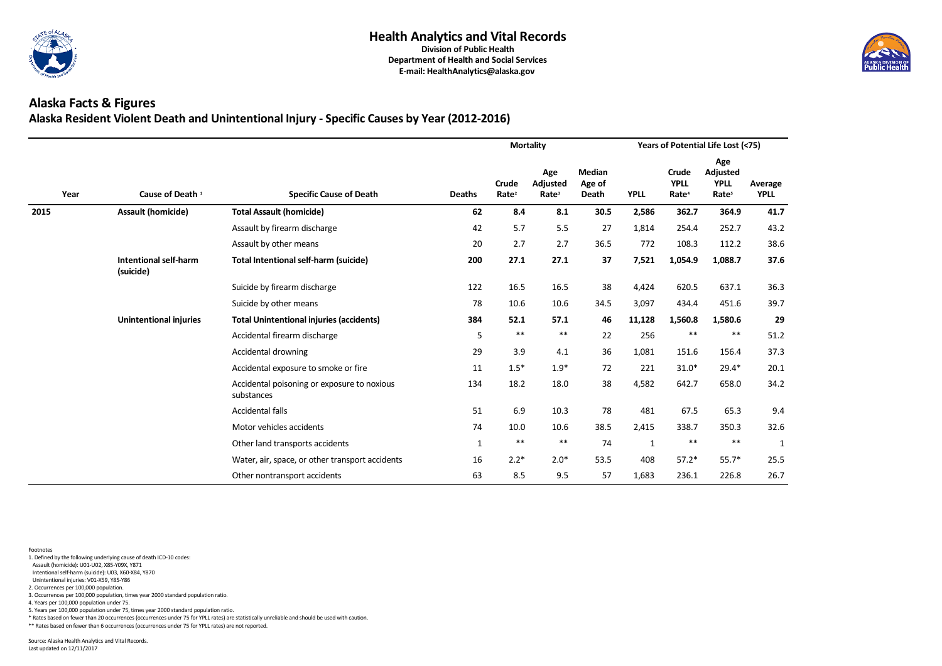

## **Alaska Facts & Figures Alaska Resident Violent Death and Unintentional Injury - Specific Causes by Year (2012-2016)**

|      |                                           |                                                           |               |                                   | <b>Mortality</b>                     |                                         |              |                                           | Years of Potential Life Lost (<75)                         |                        |
|------|-------------------------------------------|-----------------------------------------------------------|---------------|-----------------------------------|--------------------------------------|-----------------------------------------|--------------|-------------------------------------------|------------------------------------------------------------|------------------------|
| Year | Cause of Death <sup>1</sup>               | <b>Specific Cause of Death</b>                            | <b>Deaths</b> | <b>Crude</b><br>Rate <sup>2</sup> | Age<br>Adjusted<br>Rate <sup>3</sup> | <b>Median</b><br>Age of<br><b>Death</b> | <b>YPLL</b>  | Crude<br><b>YPLL</b><br>Rate <sup>4</sup> | Age<br><b>Adjusted</b><br><b>YPLL</b><br>Rate <sup>5</sup> | Average<br><b>YPLL</b> |
| 2015 | <b>Assault (homicide)</b>                 | <b>Total Assault (homicide)</b>                           | 62            | 8.4                               | 8.1                                  | 30.5                                    | 2,586        | 362.7                                     | 364.9                                                      | 41.7                   |
|      |                                           | Assault by firearm discharge                              | 42            | 5.7                               | 5.5                                  | 27                                      | 1,814        | 254.4                                     | 252.7                                                      | 43.2                   |
|      |                                           | Assault by other means                                    | 20            | 2.7                               | 2.7                                  | 36.5                                    | 772          | 108.3                                     | 112.2                                                      | 38.6                   |
|      | <b>Intentional self-harm</b><br>(suicide) | <b>Total Intentional self-harm (suicide)</b>              | 200           | 27.1                              | 27.1                                 | 37                                      | 7,521        | 1,054.9                                   | 1,088.7                                                    | 37.6                   |
|      |                                           | Suicide by firearm discharge                              | 122           | 16.5                              | 16.5                                 | 38                                      | 4,424        | 620.5                                     | 637.1                                                      | 36.3                   |
|      |                                           | Suicide by other means                                    | 78            | 10.6                              | 10.6                                 | 34.5                                    | 3,097        | 434.4                                     | 451.6                                                      | 39.7                   |
|      | <b>Unintentional injuries</b>             | <b>Total Unintentional injuries (accidents)</b>           | 384           | 52.1                              | 57.1                                 | 46                                      | 11,128       | 1,560.8                                   | 1,580.6                                                    | 29                     |
|      |                                           | Accidental firearm discharge                              | 5             | $***$                             | $***$                                | 22                                      | 256          | $***$                                     | $***$                                                      | 51.2                   |
|      |                                           | Accidental drowning                                       | 29            | 3.9                               | 4.1                                  | 36                                      | 1,081        | 151.6                                     | 156.4                                                      | 37.3                   |
|      |                                           | Accidental exposure to smoke or fire                      | 11            | $1.5*$                            | $1.9*$                               | 72                                      | 221          | $31.0*$                                   | $29.4*$                                                    | 20.1                   |
|      |                                           | Accidental poisoning or exposure to noxious<br>substances | 134           | 18.2                              | 18.0                                 | 38                                      | 4,582        | 642.7                                     | 658.0                                                      | 34.2                   |
|      |                                           | <b>Accidental falls</b>                                   | 51            | 6.9                               | 10.3                                 | 78                                      | 481          | 67.5                                      | 65.3                                                       | 9.4                    |
|      |                                           | Motor vehicles accidents                                  | 74            | 10.0                              | 10.6                                 | 38.5                                    | 2,415        | 338.7                                     | 350.3                                                      | 32.6                   |
|      |                                           | Other land transports accidents                           | $\mathbf{1}$  | $***$                             | $***$                                | 74                                      | $\mathbf{1}$ | $***$                                     | $***$                                                      | $\mathbf{1}$           |
|      |                                           | Water, air, space, or other transport accidents           | 16            | $2.2*$                            | $2.0*$                               | 53.5                                    | 408          | $57.2*$                                   | $55.7*$                                                    | 25.5                   |
|      |                                           | Other nontransport accidents                              | 63            | 8.5                               | 9.5                                  | 57                                      | 1,683        | 236.1                                     | 226.8                                                      | 26.7                   |

- 1. Defined by the following underlying cause of death ICD-10 codes:
- Assault (homicide): U01-U02, X85-Y09X, Y871
- Intentional self-harm (suicide): U03, X60-X84, Y870
- Unintentional injuries: V01-X59, Y85-Y86 2. Occurrences per 100,000 population.
- 3. Occurrences per 100,000 population, times year 2000 standard population ratio.
- 4. Years per 100,000 population under 75.
- 5. Years per 100,000 population under 75, times year 2000 standard population ratio.
- \* Rates based on fewer than 20 occurrences (occurrences under 75 for YPLL rates) are statistically unreliable and should be used with caution.
- \*\* Rates based on fewer than 6 occurrences (occurrences under 75 for YPLL rates) are not reported.

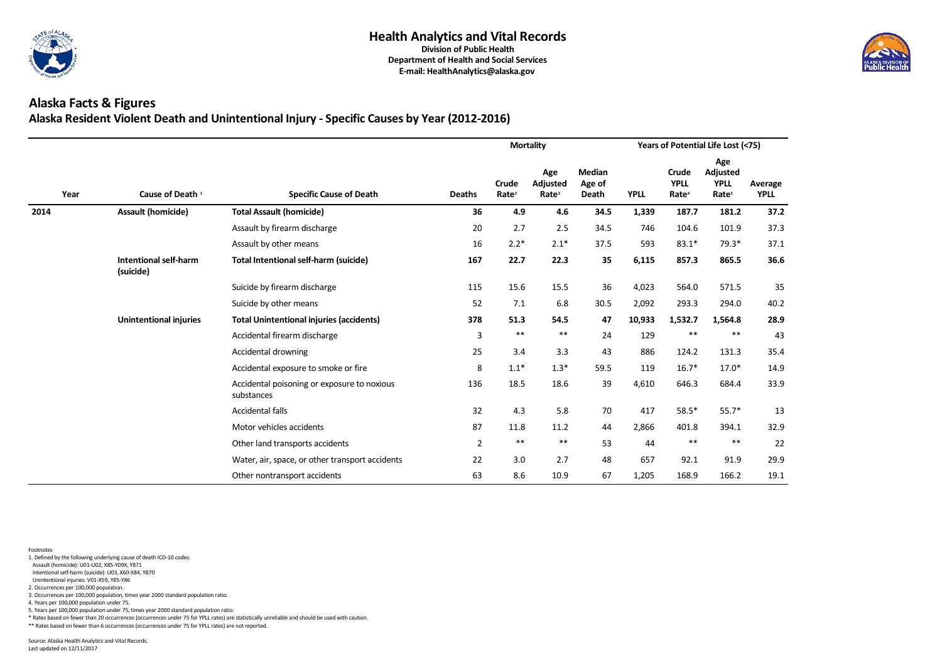

## **Alaska Facts & Figures Alaska Resident Violent Death and Unintentional Injury - Specific Causes by Year (2012-2016)**

|      |                                           |                                                           |                |                                   | <b>Mortality</b>                     |                                         |             |                                                  | Years of Potential Life Lost (<75)                         |                        |
|------|-------------------------------------------|-----------------------------------------------------------|----------------|-----------------------------------|--------------------------------------|-----------------------------------------|-------------|--------------------------------------------------|------------------------------------------------------------|------------------------|
| Year | Cause of Death 1                          | <b>Specific Cause of Death</b>                            | <b>Deaths</b>  | <b>Crude</b><br>Rate <sup>2</sup> | Age<br>Adjusted<br>Rate <sup>3</sup> | <b>Median</b><br>Age of<br><b>Death</b> | <b>YPLL</b> | <b>Crude</b><br><b>YPLL</b><br>Rate <sup>4</sup> | Age<br><b>Adjusted</b><br><b>YPLL</b><br>Rate <sup>5</sup> | Average<br><b>YPLL</b> |
| 2014 | <b>Assault (homicide)</b>                 | <b>Total Assault (homicide)</b>                           | 36             | 4.9                               | 4.6                                  | 34.5                                    | 1,339       | 187.7                                            | 181.2                                                      | 37.2                   |
|      |                                           | Assault by firearm discharge                              | 20             | 2.7                               | 2.5                                  | 34.5                                    | 746         | 104.6                                            | 101.9                                                      | 37.3                   |
|      |                                           | Assault by other means                                    | 16             | $2.2*$                            | $2.1*$                               | 37.5                                    | 593         | $83.1*$                                          | $79.3*$                                                    | 37.1                   |
|      | <b>Intentional self-harm</b><br>(suicide) | <b>Total Intentional self-harm (suicide)</b>              | 167            | 22.7                              | 22.3                                 | 35                                      | 6,115       | 857.3                                            | 865.5                                                      | 36.6                   |
|      |                                           | Suicide by firearm discharge                              | 115            | 15.6                              | 15.5                                 | 36                                      | 4,023       | 564.0                                            | 571.5                                                      | 35                     |
|      |                                           | Suicide by other means                                    | 52             | 7.1                               | 6.8                                  | 30.5                                    | 2,092       | 293.3                                            | 294.0                                                      | 40.2                   |
|      | <b>Unintentional injuries</b>             | <b>Total Unintentional injuries (accidents)</b>           | 378            | 51.3                              | 54.5                                 | 47                                      | 10,933      | 1,532.7                                          | 1,564.8                                                    | 28.9                   |
|      |                                           | Accidental firearm discharge                              | 3              | $***$                             | $***$                                | 24                                      | 129         | $***$                                            | $***$                                                      | 43                     |
|      |                                           | Accidental drowning                                       | 25             | 3.4                               | 3.3                                  | 43                                      | 886         | 124.2                                            | 131.3                                                      | 35.4                   |
|      |                                           | Accidental exposure to smoke or fire                      | 8              | $1.1*$                            | $1.3*$                               | 59.5                                    | 119         | $16.7*$                                          | $17.0*$                                                    | 14.9                   |
|      |                                           | Accidental poisoning or exposure to noxious<br>substances | 136            | 18.5                              | 18.6                                 | 39                                      | 4,610       | 646.3                                            | 684.4                                                      | 33.9                   |
|      |                                           | <b>Accidental falls</b>                                   | 32             | 4.3                               | 5.8                                  | 70                                      | 417         | $58.5*$                                          | $55.7*$                                                    | 13                     |
|      |                                           | Motor vehicles accidents                                  | 87             | 11.8                              | 11.2                                 | 44                                      | 2,866       | 401.8                                            | 394.1                                                      | 32.9                   |
|      |                                           | Other land transports accidents                           | $\overline{2}$ | $***$                             | $***$                                | 53                                      | 44          | $***$                                            | $***$                                                      | 22                     |
|      |                                           | Water, air, space, or other transport accidents           | 22             | 3.0                               | 2.7                                  | 48                                      | 657         | 92.1                                             | 91.9                                                       | 29.9                   |
|      |                                           | Other nontransport accidents                              | 63             | 8.6                               | 10.9                                 | 67                                      | 1,205       | 168.9                                            | 166.2                                                      | 19.1                   |

- 1. Defined by the following underlying cause of death ICD-10 codes:
- Assault (homicide): U01-U02, X85-Y09X, Y871
- Intentional self-harm (suicide): U03, X60-X84, Y870
- Unintentional injuries: V01-X59, Y85-Y86 2. Occurrences per 100,000 population.
- 3. Occurrences per 100,000 population, times year 2000 standard population ratio.
- 
- 4. Years per 100,000 population under 75.
- 5. Years per 100,000 population under 75, times year 2000 standard population ratio.
- \* Rates based on fewer than 20 occurrences (occurrences under 75 for YPLL rates) are statistically unreliable and should be used with caution.
- \*\* Rates based on fewer than 6 occurrences (occurrences under 75 for YPLL rates) are not reported.

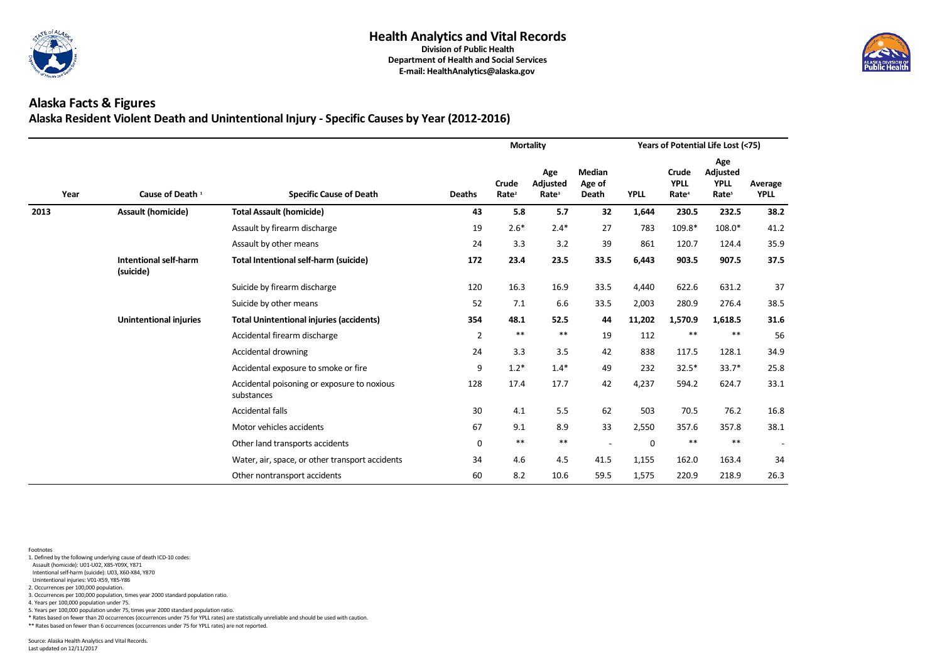

## **Alaska Facts & Figures Alaska Resident Violent Death and Unintentional Injury - Specific Causes by Year (2012-2016)**

|      |                                           |                                                           |                |                                   | <b>Mortality</b>                     |                                         |             |                                           | Years of Potential Life Lost (<75)                         |                        |
|------|-------------------------------------------|-----------------------------------------------------------|----------------|-----------------------------------|--------------------------------------|-----------------------------------------|-------------|-------------------------------------------|------------------------------------------------------------|------------------------|
| Year | Cause of Death <sup>1</sup>               | <b>Specific Cause of Death</b>                            | <b>Deaths</b>  | <b>Crude</b><br>Rate <sup>2</sup> | Age<br>Adjusted<br>Rate <sup>3</sup> | <b>Median</b><br>Age of<br><b>Death</b> | <b>YPLL</b> | Crude<br><b>YPLL</b><br>Rate <sup>4</sup> | Age<br><b>Adjusted</b><br><b>YPLL</b><br>Rate <sup>5</sup> | Average<br><b>YPLL</b> |
| 2013 | <b>Assault (homicide)</b>                 | <b>Total Assault (homicide)</b>                           | 43             | 5.8                               | 5.7                                  | 32                                      | 1,644       | 230.5                                     | 232.5                                                      | 38.2                   |
|      |                                           | Assault by firearm discharge                              | 19             | $2.6*$                            | $2.4*$                               | 27                                      | 783         | 109.8*                                    | 108.0*                                                     | 41.2                   |
|      |                                           | Assault by other means                                    | 24             | 3.3                               | 3.2                                  | 39                                      | 861         | 120.7                                     | 124.4                                                      | 35.9                   |
|      | <b>Intentional self-harm</b><br>(suicide) | <b>Total Intentional self-harm (suicide)</b>              | 172            | 23.4                              | 23.5                                 | 33.5                                    | 6,443       | 903.5                                     | 907.5                                                      | 37.5                   |
|      |                                           | Suicide by firearm discharge                              | 120            | 16.3                              | 16.9                                 | 33.5                                    | 4,440       | 622.6                                     | 631.2                                                      | 37                     |
|      |                                           | Suicide by other means                                    | 52             | 7.1                               | 6.6                                  | 33.5                                    | 2,003       | 280.9                                     | 276.4                                                      | 38.5                   |
|      | <b>Unintentional injuries</b>             | <b>Total Unintentional injuries (accidents)</b>           | 354            | 48.1                              | 52.5                                 | 44                                      | 11,202      | 1,570.9                                   | 1,618.5                                                    | 31.6                   |
|      |                                           | Accidental firearm discharge                              | $\overline{2}$ | $***$                             | $***$                                | 19                                      | 112         | $***$                                     | $***$                                                      | 56                     |
|      |                                           | Accidental drowning                                       | 24             | 3.3                               | 3.5                                  | 42                                      | 838         | 117.5                                     | 128.1                                                      | 34.9                   |
|      |                                           | Accidental exposure to smoke or fire                      | 9              | $1.2*$                            | $1.4*$                               | 49                                      | 232         | $32.5*$                                   | $33.7*$                                                    | 25.8                   |
|      |                                           | Accidental poisoning or exposure to noxious<br>substances | 128            | 17.4                              | 17.7                                 | 42                                      | 4,237       | 594.2                                     | 624.7                                                      | 33.1                   |
|      |                                           | <b>Accidental falls</b>                                   | $30\,$         | 4.1                               | 5.5                                  | 62                                      | 503         | 70.5                                      | 76.2                                                       | 16.8                   |
|      |                                           | Motor vehicles accidents                                  | 67             | 9.1                               | 8.9                                  | 33                                      | 2,550       | 357.6                                     | 357.8                                                      | 38.1                   |
|      |                                           | Other land transports accidents                           | $\pmb{0}$      | $***$                             | $***$                                |                                         | $\pmb{0}$   | $***$                                     | $***$                                                      |                        |
|      |                                           | Water, air, space, or other transport accidents           | 34             | 4.6                               | 4.5                                  | 41.5                                    | 1,155       | 162.0                                     | 163.4                                                      | 34                     |
|      |                                           | Other nontransport accidents                              | 60             | 8.2                               | 10.6                                 | 59.5                                    | 1,575       | 220.9                                     | 218.9                                                      | 26.3                   |

- 1. Defined by the following underlying cause of death ICD-10 codes:
- Assault (homicide): U01-U02, X85-Y09X, Y871
- Intentional self-harm (suicide): U03, X60-X84, Y870
- Unintentional injuries: V01-X59, Y85-Y86 2. Occurrences per 100,000 population.
- 
- 3. Occurrences per 100,000 population, times year 2000 standard population ratio. 4. Years per 100,000 population under 75.
- 
- 5. Years per 100,000 population under 75, times year 2000 standard population ratio.
- \* Rates based on fewer than 20 occurrences (occurrences under 75 for YPLL rates) are statistically unreliable and should be used with caution.
- \*\* Rates based on fewer than 6 occurrences (occurrences under 75 for YPLL rates) are not reported.

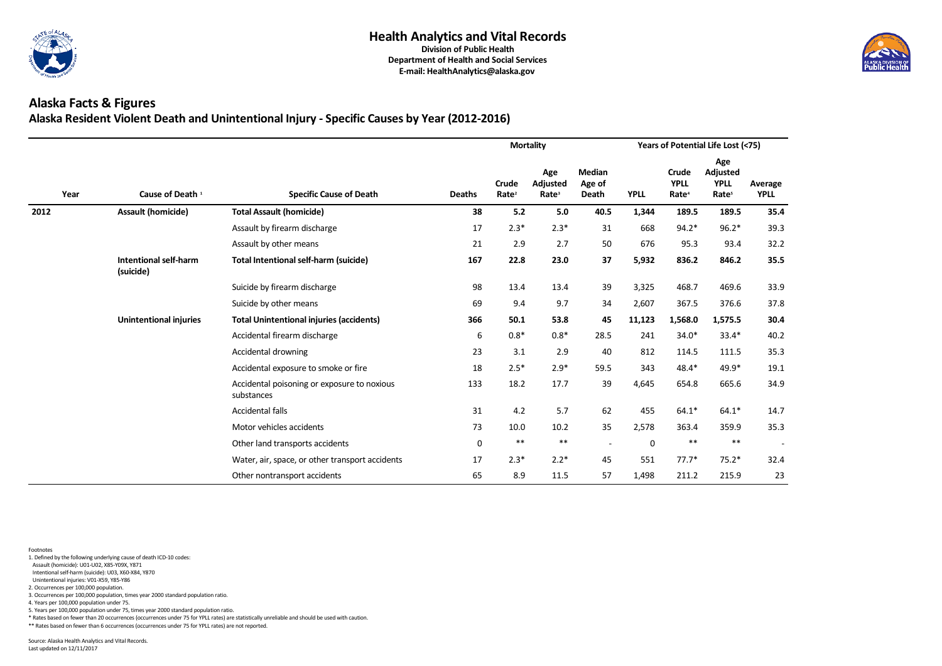

## **Alaska Facts & Figures Alaska Resident Violent Death and Unintentional Injury - Specific Causes by Year (2012-2016)**

|      |                                           |                                                           |               |                                   | <b>Mortality</b>                     |                                         |             |                                           | Years of Potential Life Lost (<75)                         |                        |
|------|-------------------------------------------|-----------------------------------------------------------|---------------|-----------------------------------|--------------------------------------|-----------------------------------------|-------------|-------------------------------------------|------------------------------------------------------------|------------------------|
| Year | Cause of Death <sup>1</sup>               | <b>Specific Cause of Death</b>                            | <b>Deaths</b> | <b>Crude</b><br>Rate <sup>2</sup> | Age<br>Adjusted<br>Rate <sup>3</sup> | <b>Median</b><br>Age of<br><b>Death</b> | <b>YPLL</b> | Crude<br><b>YPLL</b><br>Rate <sup>4</sup> | Age<br><b>Adjusted</b><br><b>YPLL</b><br>Rate <sup>5</sup> | Average<br><b>YPLL</b> |
| 2012 | <b>Assault (homicide)</b>                 | <b>Total Assault (homicide)</b>                           | 38            | 5.2                               | 5.0                                  | 40.5                                    | 1,344       | 189.5                                     | 189.5                                                      | 35.4                   |
|      |                                           | Assault by firearm discharge                              | 17            | $2.3*$                            | $2.3*$                               | 31                                      | 668         | $94.2*$                                   | $96.2*$                                                    | 39.3                   |
|      |                                           | Assault by other means                                    | 21            | 2.9                               | 2.7                                  | 50                                      | 676         | 95.3                                      | 93.4                                                       | 32.2                   |
|      | <b>Intentional self-harm</b><br>(suicide) | <b>Total Intentional self-harm (suicide)</b>              | 167           | 22.8                              | 23.0                                 | 37                                      | 5,932       | 836.2                                     | 846.2                                                      | 35.5                   |
|      |                                           | Suicide by firearm discharge                              | 98            | 13.4                              | 13.4                                 | 39                                      | 3,325       | 468.7                                     | 469.6                                                      | 33.9                   |
|      |                                           | Suicide by other means                                    | 69            | 9.4                               | 9.7                                  | 34                                      | 2,607       | 367.5                                     | 376.6                                                      | 37.8                   |
|      | <b>Unintentional injuries</b>             | <b>Total Unintentional injuries (accidents)</b>           | 366           | 50.1                              | 53.8                                 | 45                                      | 11,123      | 1,568.0                                   | 1,575.5                                                    | 30.4                   |
|      |                                           | Accidental firearm discharge                              | 6             | $0.8*$                            | $0.8*$                               | 28.5                                    | 241         | 34.0*                                     | $33.4*$                                                    | 40.2                   |
|      |                                           | Accidental drowning                                       | 23            | 3.1                               | 2.9                                  | 40                                      | 812         | 114.5                                     | 111.5                                                      | 35.3                   |
|      |                                           | Accidental exposure to smoke or fire                      | 18            | $2.5*$                            | $2.9*$                               | 59.5                                    | 343         | 48.4*                                     | 49.9*                                                      | 19.1                   |
|      |                                           | Accidental poisoning or exposure to noxious<br>substances | 133           | 18.2                              | 17.7                                 | 39                                      | 4,645       | 654.8                                     | 665.6                                                      | 34.9                   |
|      |                                           | <b>Accidental falls</b>                                   | 31            | 4.2                               | 5.7                                  | 62                                      | 455         | $64.1*$                                   | $64.1*$                                                    | 14.7                   |
|      |                                           | Motor vehicles accidents                                  | 73            | 10.0                              | 10.2                                 | 35                                      | 2,578       | 363.4                                     | 359.9                                                      | 35.3                   |
|      |                                           | Other land transports accidents                           | $\pmb{0}$     | $***$                             | $***$                                |                                         | $\pmb{0}$   | $***$                                     | $***$                                                      |                        |
|      |                                           | Water, air, space, or other transport accidents           | 17            | $2.3*$                            | $2.2*$                               | 45                                      | 551         | $77.7*$                                   | $75.2*$                                                    | 32.4                   |
|      |                                           | Other nontransport accidents                              | 65            | 8.9                               | 11.5                                 | 57                                      | 1,498       | 211.2                                     | 215.9                                                      | 23                     |

- 1. Defined by the following underlying cause of death ICD-10 codes:
- Assault (homicide): U01-U02, X85-Y09X, Y871
- Intentional self-harm (suicide): U03, X60-X84, Y870
- Unintentional injuries: V01-X59, Y85-Y86
- 2. Occurrences per 100,000 population. 3. Occurrences per 100,000 population, times year 2000 standard population ratio.
- 4. Years per 100,000 population under 75.
- 
- 5. Years per 100,000 population under 75, times year 2000 standard population ratio.
- \* Rates based on fewer than 20 occurrences (occurrences under 75 for YPLL rates) are statistically unreliable and should be used with caution.
- \*\* Rates based on fewer than 6 occurrences (occurrences under 75 for YPLL rates) are not reported.

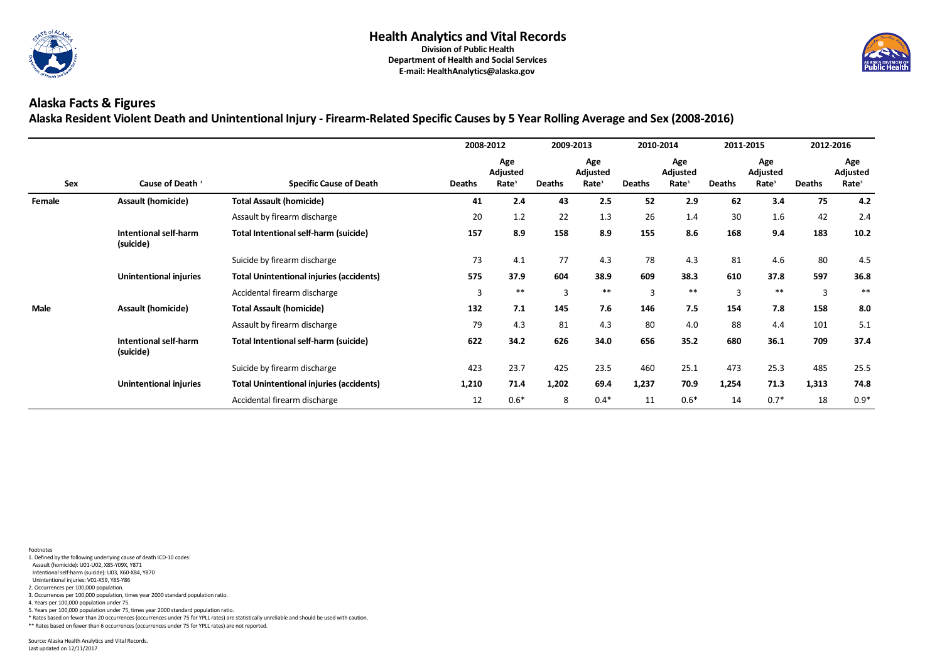

## **Alaska Facts & Figures Alaska Resident Violent Death and Unintentional Injury - Firearm-Related Specific Causes by 5 Year Rolling Average and Sex (2008-2016)**

|             |                                           |                                                 | 2008-2012     |                                      |                | 2009-2013                            |                | 2010-2014                            |                | 2011-2015                            |               | 2012-2016                            |
|-------------|-------------------------------------------|-------------------------------------------------|---------------|--------------------------------------|----------------|--------------------------------------|----------------|--------------------------------------|----------------|--------------------------------------|---------------|--------------------------------------|
| <b>Sex</b>  | Cause of Death <sup>1</sup>               | <b>Specific Cause of Death</b>                  | <b>Deaths</b> | Age<br>Adjusted<br>Rate <sup>3</sup> | <b>Deaths</b>  | Age<br>Adjusted<br>Rate <sup>3</sup> | <b>Deaths</b>  | Age<br>Adjusted<br>Rate <sup>3</sup> | <b>Deaths</b>  | Age<br>Adjusted<br>Rate <sup>3</sup> | <b>Deaths</b> | Age<br>Adjusted<br>Rate <sup>3</sup> |
| Female      | <b>Assault (homicide)</b>                 | <b>Total Assault (homicide)</b>                 | 41            | 2.4                                  | 43             | 2.5                                  | 52             | 2.9                                  | 62             | 3.4                                  | 75            | 4.2                                  |
|             |                                           | Assault by firearm discharge                    | 20            | 1.2                                  | 22             | 1.3                                  | 26             | 1.4                                  | 30             | 1.6                                  | 42            | 2.4                                  |
|             | <b>Intentional self-harm</b><br>(suicide) | <b>Total Intentional self-harm (suicide)</b>    | 157           | 8.9                                  | 158            | 8.9                                  | 155            | 8.6                                  | 168            | 9.4                                  | 183           | 10.2                                 |
|             |                                           | Suicide by firearm discharge                    | 73            | 4.1                                  | 77             | 4.3                                  | 78             | 4.3                                  | 81             | 4.6                                  | 80            | 4.5                                  |
|             | <b>Unintentional injuries</b>             | <b>Total Unintentional injuries (accidents)</b> | 575           | 37.9                                 | 604            | 38.9                                 | 609            | 38.3                                 | 610            | 37.8                                 | 597           | 36.8                                 |
|             |                                           | Accidental firearm discharge                    | 3             | $***$                                | $\overline{3}$ | $***$                                | $\overline{3}$ | $***$                                | $\overline{3}$ | $***$                                | 3             | $***$                                |
| <b>Male</b> | <b>Assault (homicide)</b>                 | <b>Total Assault (homicide)</b>                 | 132           | 7.1                                  | 145            | 7.6                                  | 146            | 7.5                                  | 154            | 7.8                                  | 158           | 8.0                                  |
|             |                                           | Assault by firearm discharge                    | 79            | 4.3                                  | 81             | 4.3                                  | 80             | 4.0                                  | 88             | 4.4                                  | 101           | 5.1                                  |
|             | <b>Intentional self-harm</b><br>(suicide) | <b>Total Intentional self-harm (suicide)</b>    | 622           | 34.2                                 | 626            | 34.0                                 | 656            | 35.2                                 | 680            | 36.1                                 | 709           | 37.4                                 |
|             |                                           | Suicide by firearm discharge                    | 423           | 23.7                                 | 425            | 23.5                                 | 460            | 25.1                                 | 473            | 25.3                                 | 485           | 25.5                                 |
|             | <b>Unintentional injuries</b>             | <b>Total Unintentional injuries (accidents)</b> | 1,210         | 71.4                                 | 1,202          | 69.4                                 | 1,237          | 70.9                                 | 1,254          | 71.3                                 | 1,313         | 74.8                                 |
|             |                                           | Accidental firearm discharge                    | 12            | $0.6*$                               | 8              | $0.4*$                               | 11             | $0.6*$                               | 14             | $0.7*$                               | 18            | $0.9*$                               |

- 1. Defined by the following underlying cause of death ICD-10 codes:
- Assault (homicide): U01-U02, X85-Y09X, Y871
- Intentional self-harm (suicide): U03, X60-X84, Y870
- Unintentional injuries: V01-X59, Y85-Y86
- 2. Occurrences per 100,000 population.
- 3. Occurrences per 100,000 population, times year 2000 standard population ratio.
- 4. Years per 100,000 population under 75.
- 5. Years per 100,000 population under 75, times year 2000 standard population ratio.
- \* Rates based on fewer than 20 occurrences (occurrences under 75 for YPLL rates) are statistically unreliable and should be used with caution.
- \*\* Rates based on fewer than 6 occurrences (occurrences under 75 for YPLL rates) are not reported.

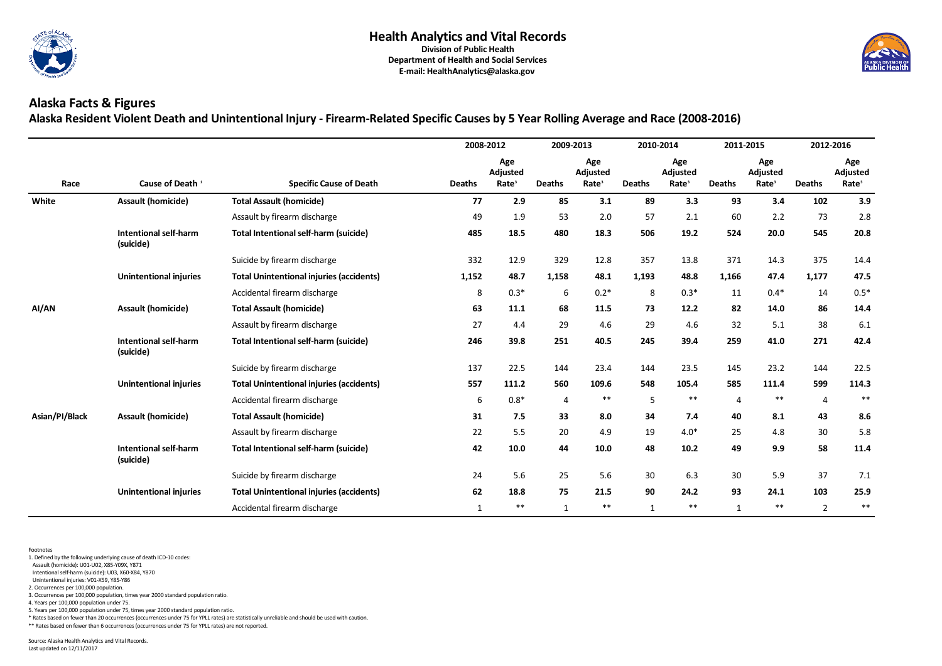

## **Alaska Facts & Figures Alaska Resident Violent Death and Unintentional Injury - Firearm-Related Specific Causes by 5 Year Rolling Average and Race (2008-2016)**

|                |                                           |                                                 |               | 2008-2012                            | 2009-2013      |                                      |               | 2010-2014                            |                | 2011-2015                                   |                | 2012-2016                                   |
|----------------|-------------------------------------------|-------------------------------------------------|---------------|--------------------------------------|----------------|--------------------------------------|---------------|--------------------------------------|----------------|---------------------------------------------|----------------|---------------------------------------------|
| Race           | Cause of Death <sup>1</sup>               | <b>Specific Cause of Death</b>                  | <b>Deaths</b> | Age<br>Adjusted<br>Rate <sup>3</sup> | <b>Deaths</b>  | Age<br>Adjusted<br>Rate <sup>3</sup> | <b>Deaths</b> | Age<br>Adjusted<br>Rate <sup>3</sup> | <b>Deaths</b>  | Age<br><b>Adjusted</b><br>Rate <sup>3</sup> | <b>Deaths</b>  | Age<br><b>Adjusted</b><br>Rate <sup>3</sup> |
| White          | <b>Assault (homicide)</b>                 | <b>Total Assault (homicide)</b>                 | 77            | 2.9                                  | 85             | 3.1                                  | 89            | 3.3                                  | 93             | 3.4                                         | 102            | 3.9                                         |
|                |                                           | Assault by firearm discharge                    | 49            | 1.9                                  | 53             | 2.0                                  | 57            | 2.1                                  | 60             | 2.2                                         | 73             | 2.8                                         |
|                | Intentional self-harm<br>(suicide)        | <b>Total Intentional self-harm (suicide)</b>    | 485           | 18.5                                 | 480            | 18.3                                 | 506           | 19.2                                 | 524            | 20.0                                        | 545            | 20.8                                        |
|                |                                           | Suicide by firearm discharge                    | 332           | 12.9                                 | 329            | 12.8                                 | 357           | 13.8                                 | 371            | 14.3                                        | 375            | 14.4                                        |
|                | <b>Unintentional injuries</b>             | <b>Total Unintentional injuries (accidents)</b> | 1,152         | 48.7                                 | 1,158          | 48.1                                 | 1,193         | 48.8                                 | 1,166          | 47.4                                        | 1,177          | 47.5                                        |
|                |                                           | Accidental firearm discharge                    | 8             | $0.3*$                               | 6              | $0.2*$                               | 8             | $0.3*$                               | 11             | $0.4*$                                      | 14             | $0.5*$                                      |
| AI/AN          | <b>Assault (homicide)</b>                 | <b>Total Assault (homicide)</b>                 | 63            | 11.1                                 | 68             | 11.5                                 | 73            | 12.2                                 | 82             | 14.0                                        | 86             | 14.4                                        |
|                |                                           | Assault by firearm discharge                    | 27            | 4.4                                  | 29             | 4.6                                  | 29            | 4.6                                  | 32             | 5.1                                         | 38             | 6.1                                         |
|                | <b>Intentional self-harm</b><br>(suicide) | <b>Total Intentional self-harm (suicide)</b>    | 246           | 39.8                                 | 251            | 40.5                                 | 245           | 39.4                                 | 259            | 41.0                                        | 271            | 42.4                                        |
|                |                                           | Suicide by firearm discharge                    | 137           | 22.5                                 | 144            | 23.4                                 | 144           | 23.5                                 | 145            | 23.2                                        | 144            | 22.5                                        |
|                | <b>Unintentional injuries</b>             | <b>Total Unintentional injuries (accidents)</b> | 557           | 111.2                                | 560            | 109.6                                | 548           | 105.4                                | 585            | 111.4                                       | 599            | 114.3                                       |
|                |                                           | Accidental firearm discharge                    | 6             | $0.8*$                               | $\overline{4}$ | $***$                                | 5             | $***$                                | $\overline{4}$ | **                                          | $\overline{4}$ | $***$                                       |
| Asian/PI/Black | <b>Assault (homicide)</b>                 | <b>Total Assault (homicide)</b>                 | 31            | 7.5                                  | 33             | 8.0                                  | 34            | 7.4                                  | 40             | 8.1                                         | 43             | 8.6                                         |
|                |                                           | Assault by firearm discharge                    | 22            | 5.5                                  | 20             | 4.9                                  | 19            | $4.0*$                               | 25             | 4.8                                         | 30             | 5.8                                         |
|                | <b>Intentional self-harm</b><br>(suicide) | <b>Total Intentional self-harm (suicide)</b>    | 42            | 10.0                                 | 44             | 10.0                                 | 48            | 10.2                                 | 49             | 9.9                                         | 58             | 11.4                                        |
|                |                                           | Suicide by firearm discharge                    | 24            | 5.6                                  | 25             | 5.6                                  | 30            | 6.3                                  | 30             | 5.9                                         | 37             | 7.1                                         |
|                | <b>Unintentional injuries</b>             | <b>Total Unintentional injuries (accidents)</b> | 62            | 18.8                                 | 75             | 21.5                                 | 90            | 24.2                                 | 93             | 24.1                                        | 103            | 25.9                                        |
|                |                                           | Accidental firearm discharge                    | $\mathbf{1}$  | $***$                                | $\mathbf{1}$   | $***$                                | $\mathbf{1}$  | $***$                                | $\mathbf{1}$   | $***$                                       | $\overline{2}$ | $\ast\ast$                                  |

Footnotes

1. Defined by the following underlying cause of death ICD-10 codes:

Assault (homicide): U01-U02, X85-Y09X, Y871

Intentional self-harm (suicide): U03, X60-X84, Y870

Unintentional injuries: V01-X59, Y85-Y86

2. Occurrences per 100,000 population.

3. Occurrences per 100,000 population, times year 2000 standard population ratio.

4. Years per 100,000 population under 75.

5. Years per 100,000 population under 75, times year 2000 standard population ratio.

\* Rates based on fewer than 20 occurrences (occurrences under 75 for YPLL rates) are statistically unreliable and should be used with caution.

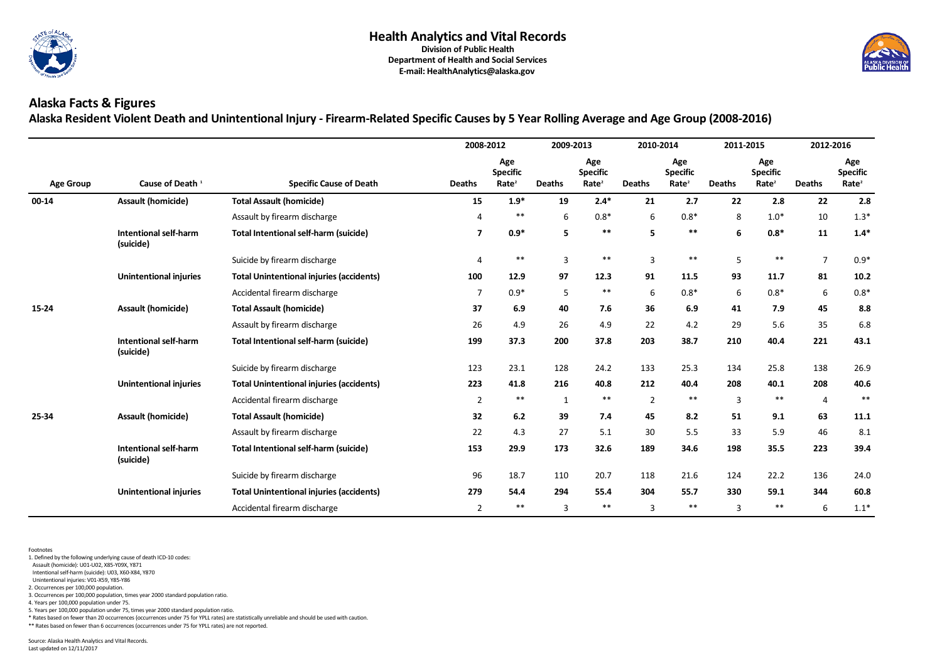

# **Alaska Facts & Figures Alaska Resident Violent Death and Unintentional Injury - Firearm-Related Specific Causes by 5 Year Rolling Average and Age Group (2008-2016)**

|                  |                                           |                                                 | 2008-2012      |                                             | 2009-2013      |                                             | 2010-2014      |                                             | 2011-2015      |                                             |                | 2012-2016                                   |
|------------------|-------------------------------------------|-------------------------------------------------|----------------|---------------------------------------------|----------------|---------------------------------------------|----------------|---------------------------------------------|----------------|---------------------------------------------|----------------|---------------------------------------------|
| <b>Age Group</b> | Cause of Death <sup>1</sup>               | <b>Specific Cause of Death</b>                  | <b>Deaths</b>  | Age<br><b>Specific</b><br>Rate <sup>2</sup> | <b>Deaths</b>  | Age<br><b>Specific</b><br>Rate <sup>2</sup> | <b>Deaths</b>  | Age<br><b>Specific</b><br>Rate <sup>2</sup> | <b>Deaths</b>  | Age<br><b>Specific</b><br>Rate <sup>2</sup> | <b>Deaths</b>  | Age<br><b>Specific</b><br>Rate <sup>2</sup> |
| $00 - 14$        | <b>Assault (homicide)</b>                 | <b>Total Assault (homicide)</b>                 | 15             | $1.9*$                                      | 19             | $2.4*$                                      | 21             | 2.7                                         | 22             | 2.8                                         | 22             | 2.8                                         |
|                  |                                           | Assault by firearm discharge                    |                | $***$                                       | 6              | $0.8*$                                      | 6              | $0.8*$                                      | 8              | $1.0*$                                      | 10             | $1.3*$                                      |
|                  | <b>Intentional self-harm</b><br>(suicide) | <b>Total Intentional self-harm (suicide)</b>    | $\overline{7}$ | $0.9*$                                      | 5              | $***$                                       | 5 <sup>1</sup> | $***$                                       | 6              | $0.8*$                                      | 11             | $1.4*$                                      |
|                  |                                           | Suicide by firearm discharge                    | 4              | $***$                                       | $\overline{3}$ | $***$                                       | 3              | $***$                                       | 5              | $***$                                       | $\overline{7}$ | $0.9*$                                      |
|                  | <b>Unintentional injuries</b>             | <b>Total Unintentional injuries (accidents)</b> | 100            | 12.9                                        | 97             | 12.3                                        | 91             | 11.5                                        | 93             | 11.7                                        | 81             | 10.2                                        |
|                  |                                           | Accidental firearm discharge                    | $\overline{7}$ | $0.9*$                                      | 5              | $***$                                       | 6              | $0.8*$                                      | 6              | $0.8*$                                      | $6\,$          | $0.8*$                                      |
| 15-24            | <b>Assault (homicide)</b>                 | <b>Total Assault (homicide)</b>                 | 37             | 6.9                                         | 40             | 7.6                                         | 36             | 6.9                                         | 41             | 7.9                                         | 45             | 8.8                                         |
|                  |                                           | Assault by firearm discharge                    | 26             | 4.9                                         | 26             | 4.9                                         | 22             | 4.2                                         | 29             | 5.6                                         | 35             | 6.8                                         |
|                  | <b>Intentional self-harm</b><br>(suicide) | <b>Total Intentional self-harm (suicide)</b>    | 199            | 37.3                                        | 200            | 37.8                                        | 203            | 38.7                                        | 210            | 40.4                                        | 221            | 43.1                                        |
|                  |                                           | Suicide by firearm discharge                    | 123            | 23.1                                        | 128            | 24.2                                        | 133            | 25.3                                        | 134            | 25.8                                        | 138            | 26.9                                        |
|                  | <b>Unintentional injuries</b>             | <b>Total Unintentional injuries (accidents)</b> | 223            | 41.8                                        | 216            | 40.8                                        | 212            | 40.4                                        | 208            | 40.1                                        | 208            | 40.6                                        |
|                  |                                           | Accidental firearm discharge                    | $2^{\circ}$    | $***$                                       | $\mathbf{1}$   | $***$                                       | $\overline{2}$ | $***$                                       | $\overline{3}$ | **                                          | $\overline{4}$ | $***$                                       |
| 25-34            | <b>Assault (homicide)</b>                 | <b>Total Assault (homicide)</b>                 | 32             | 6.2                                         | 39             | 7.4                                         | 45             | 8.2                                         | 51             | 9.1                                         | 63             | 11.1                                        |
|                  |                                           | Assault by firearm discharge                    | 22             | 4.3                                         | 27             | 5.1                                         | 30             | 5.5                                         | 33             | 5.9                                         | 46             | 8.1                                         |
|                  | <b>Intentional self-harm</b><br>(suicide) | <b>Total Intentional self-harm (suicide)</b>    | 153            | 29.9                                        | 173            | 32.6                                        | 189            | 34.6                                        | 198            | 35.5                                        | 223            | 39.4                                        |
|                  |                                           | Suicide by firearm discharge                    | 96             | 18.7                                        | 110            | 20.7                                        | 118            | 21.6                                        | 124            | 22.2                                        | 136            | 24.0                                        |
|                  | <b>Unintentional injuries</b>             | <b>Total Unintentional injuries (accidents)</b> | 279            | 54.4                                        | 294            | 55.4                                        | 304            | 55.7                                        | 330            | 59.1                                        | 344            | 60.8                                        |
|                  |                                           | Accidental firearm discharge                    | $2^{\circ}$    | $***$                                       | 3              | $***$                                       | 3              | $***$                                       | $\overline{3}$ | $***$                                       | 6              | $1.1*$                                      |

Footnotes

1. Defined by the following underlying cause of death ICD-10 codes:

Assault (homicide): U01-U02, X85-Y09X, Y871

Intentional self-harm (suicide): U03, X60-X84, Y870

Unintentional injuries: V01-X59, Y85-Y86

2. Occurrences per 100,000 population.

3. Occurrences per 100,000 population, times year 2000 standard population ratio.

4. Years per 100,000 population under 75.

5. Years per 100,000 population under 75, times year 2000 standard population ratio.

\* Rates based on fewer than 20 occurrences (occurrences under 75 for YPLL rates) are statistically unreliable and should be used with caution.

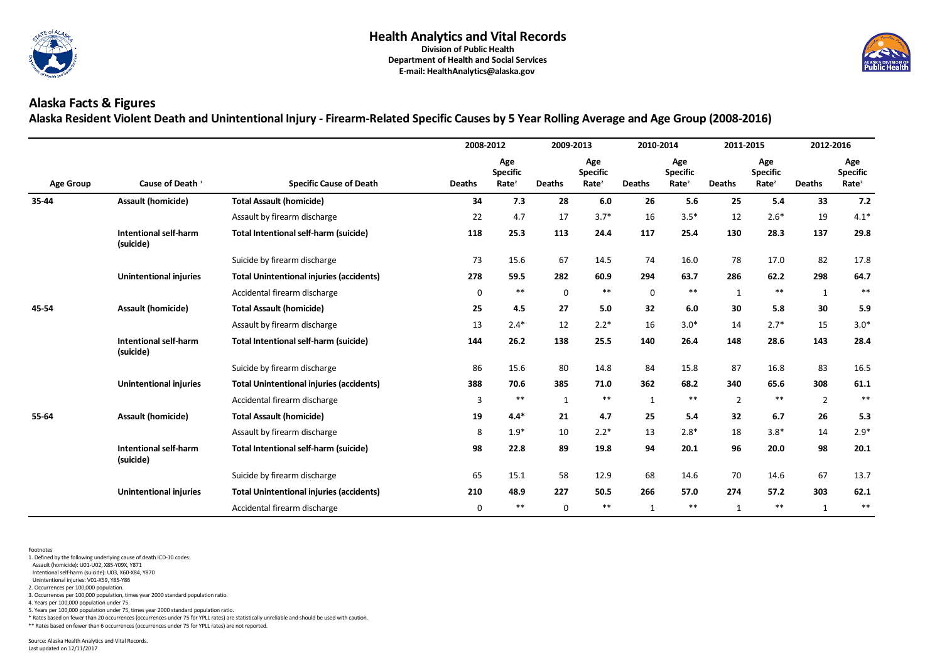

# **Alaska Facts & Figures Alaska Resident Violent Death and Unintentional Injury - Firearm-Related Specific Causes by 5 Year Rolling Average and Age Group (2008-2016)**

|                  |                                           |                                                 | 2008-2012      |                                             | 2009-2013     |                                             | 2010-2014     |                                             | 2011-2015      |                                             |                | 2012-2016                                   |
|------------------|-------------------------------------------|-------------------------------------------------|----------------|---------------------------------------------|---------------|---------------------------------------------|---------------|---------------------------------------------|----------------|---------------------------------------------|----------------|---------------------------------------------|
| <b>Age Group</b> | Cause of Death <sup>1</sup>               | <b>Specific Cause of Death</b>                  | <b>Deaths</b>  | Age<br><b>Specific</b><br>Rate <sup>2</sup> | <b>Deaths</b> | Age<br><b>Specific</b><br>Rate <sup>2</sup> | <b>Deaths</b> | Age<br><b>Specific</b><br>Rate <sup>2</sup> | <b>Deaths</b>  | Age<br><b>Specific</b><br>Rate <sup>2</sup> | <b>Deaths</b>  | Age<br><b>Specific</b><br>Rate <sup>2</sup> |
| 35-44            | <b>Assault (homicide)</b>                 | <b>Total Assault (homicide)</b>                 | 34             | 7.3                                         | 28            | 6.0                                         | 26            | 5.6                                         | 25             | 5.4                                         | 33             | 7.2                                         |
|                  |                                           | Assault by firearm discharge                    | 22             | 4.7                                         | 17            | $3.7*$                                      | 16            | $3.5*$                                      | 12             | $2.6*$                                      | 19             | $4.1*$                                      |
|                  | <b>Intentional self-harm</b><br>(suicide) | <b>Total Intentional self-harm (suicide)</b>    | 118            | 25.3                                        | 113           | 24.4                                        | 117           | 25.4                                        | 130            | 28.3                                        | 137            | 29.8                                        |
|                  |                                           | Suicide by firearm discharge                    | 73             | 15.6                                        | 67            | 14.5                                        | 74            | 16.0                                        | 78             | 17.0                                        | 82             | 17.8                                        |
|                  | <b>Unintentional injuries</b>             | <b>Total Unintentional injuries (accidents)</b> | 278            | 59.5                                        | 282           | 60.9                                        | 294           | 63.7                                        | 286            | 62.2                                        | 298            | 64.7                                        |
|                  |                                           | Accidental firearm discharge                    | $\mathbf 0$    | $***$                                       | $\mathbf 0$   | $***$                                       | $\mathbf 0$   | $***$                                       | $\mathbf{1}$   | $***$                                       | $\mathbf{1}$   | $***$                                       |
| 45-54            | <b>Assault (homicide)</b>                 | <b>Total Assault (homicide)</b>                 | 25             | 4.5                                         | 27            | 5.0                                         | 32            | 6.0                                         | 30             | 5.8                                         | 30             | 5.9                                         |
|                  |                                           | Assault by firearm discharge                    | 13             | $2.4*$                                      | 12            | $2.2*$                                      | 16            | $3.0*$                                      | 14             | $2.7*$                                      | 15             | $3.0*$                                      |
|                  | <b>Intentional self-harm</b><br>(suicide) | <b>Total Intentional self-harm (suicide)</b>    | 144            | 26.2                                        | 138           | 25.5                                        | 140           | 26.4                                        | 148            | 28.6                                        | 143            | 28.4                                        |
|                  |                                           | Suicide by firearm discharge                    | 86             | 15.6                                        | 80            | 14.8                                        | 84            | 15.8                                        | 87             | 16.8                                        | 83             | 16.5                                        |
|                  | <b>Unintentional injuries</b>             | <b>Total Unintentional injuries (accidents)</b> | 388            | 70.6                                        | 385           | 71.0                                        | 362           | 68.2                                        | 340            | 65.6                                        | 308            | 61.1                                        |
|                  |                                           | Accidental firearm discharge                    | $\overline{3}$ | $***$                                       | $\mathbf{1}$  | $***$                                       | $\mathbf{1}$  | $***$                                       | $\overline{2}$ | $***$                                       | $\overline{2}$ | $***$                                       |
| 55-64            | <b>Assault (homicide)</b>                 | <b>Total Assault (homicide)</b>                 | 19             | $4.4*$                                      | 21            | 4.7                                         | 25            | 5.4                                         | 32             | 6.7                                         | 26             | 5.3                                         |
|                  |                                           | Assault by firearm discharge                    | 8              | $1.9*$                                      | 10            | $2.2*$                                      | 13            | $2.8*$                                      | 18             | $3.8*$                                      | 14             | $2.9*$                                      |
|                  | <b>Intentional self-harm</b><br>(suicide) | <b>Total Intentional self-harm (suicide)</b>    | 98             | 22.8                                        | 89            | 19.8                                        | 94            | 20.1                                        | 96             | 20.0                                        | 98             | 20.1                                        |
|                  |                                           | Suicide by firearm discharge                    | 65             | 15.1                                        | 58            | 12.9                                        | 68            | 14.6                                        | 70             | 14.6                                        | 67             | 13.7                                        |
|                  | <b>Unintentional injuries</b>             | <b>Total Unintentional injuries (accidents)</b> | 210            | 48.9                                        | 227           | 50.5                                        | 266           | 57.0                                        | 274            | 57.2                                        | 303            | 62.1                                        |
|                  |                                           | Accidental firearm discharge                    | $\mathbf 0$    | $***$                                       | $\mathbf 0$   | $***$                                       | $\mathbf{1}$  | $***$                                       | $\mathbf{1}$   | $***$                                       | $\mathbf{1}$   | $***$                                       |

Footnotes

1. Defined by the following underlying cause of death ICD-10 codes:

Assault (homicide): U01-U02, X85-Y09X, Y871

Intentional self-harm (suicide): U03, X60-X84, Y870

Unintentional injuries: V01-X59, Y85-Y86

2. Occurrences per 100,000 population.

3. Occurrences per 100,000 population, times year 2000 standard population ratio.

4. Years per 100,000 population under 75.

5. Years per 100,000 population under 75, times year 2000 standard population ratio.

\* Rates based on fewer than 20 occurrences (occurrences under 75 for YPLL rates) are statistically unreliable and should be used with caution.

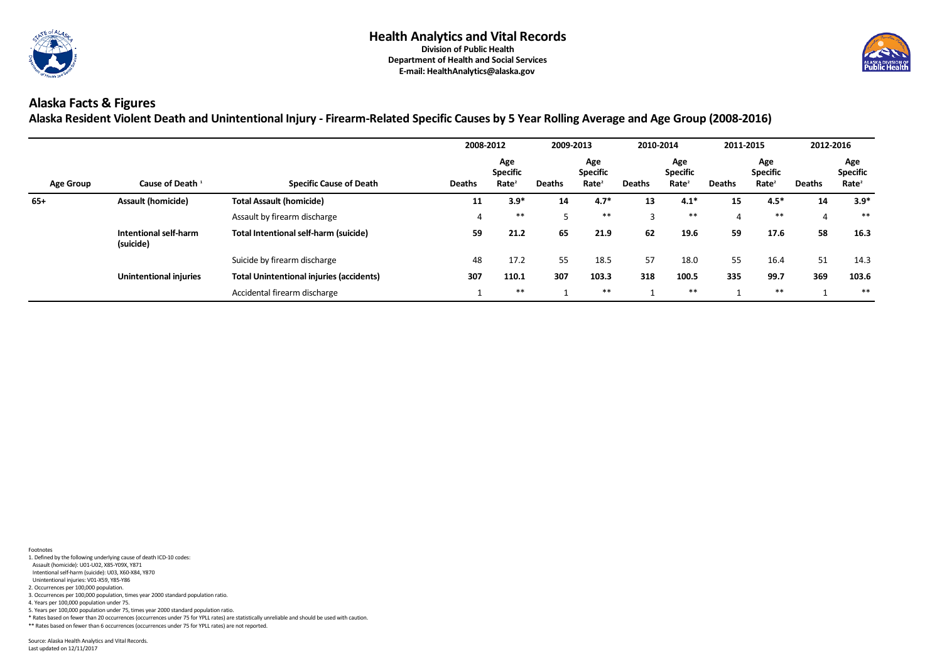

# **Alaska Facts & Figures**

**Alaska Resident Violent Death and Unintentional Injury - Firearm-Related Specific Causes by 5 Year Rolling Average and Age Group (2008-2016)** 

|                  |                                    |                                                 | 2008-2012     |                                             | 2009-2013     |                                             | 2010-2014     |                                             | 2011-2015      |                                             |               | 2012-2016                                   |
|------------------|------------------------------------|-------------------------------------------------|---------------|---------------------------------------------|---------------|---------------------------------------------|---------------|---------------------------------------------|----------------|---------------------------------------------|---------------|---------------------------------------------|
| <b>Age Group</b> | Cause of Death <sup>1</sup>        | <b>Specific Cause of Death</b>                  | <b>Deaths</b> | Age<br><b>Specific</b><br>Rate <sup>2</sup> | <b>Deaths</b> | Age<br><b>Specific</b><br>Rate <sup>2</sup> | <b>Deaths</b> | Age<br><b>Specific</b><br>Rate <sup>2</sup> | <b>Deaths</b>  | Age<br><b>Specific</b><br>Rate <sup>2</sup> | <b>Deaths</b> | Age<br><b>Specific</b><br>Rate <sup>2</sup> |
| $65+$            | <b>Assault (homicide)</b>          | <b>Total Assault (homicide)</b>                 | 11            | $3.9*$                                      | 14            | $4.7*$                                      | 13            | $4.1*$                                      | 15             | $4.5*$                                      | 14            | $3.9*$                                      |
|                  |                                    | Assault by firearm discharge                    |               | $***$                                       |               | **                                          |               | $***$                                       | $\overline{4}$ | $***$                                       |               | $***$                                       |
|                  | Intentional self-harm<br>(suicide) | <b>Total Intentional self-harm (suicide)</b>    | 59            | 21.2                                        | 65            | 21.9                                        | 62            | 19.6                                        | 59             | 17.6                                        | 58            | 16.3                                        |
|                  |                                    | Suicide by firearm discharge                    | 48            | 17.2                                        | 55            | 18.5                                        | 57            | 18.0                                        | 55             | 16.4                                        | 51            | 14.3                                        |
|                  | <b>Unintentional injuries</b>      | <b>Total Unintentional injuries (accidents)</b> | 307           | 110.1                                       | 307           | 103.3                                       | 318           | 100.5                                       | 335            | 99.7                                        | 369           | 103.6                                       |
|                  |                                    | Accidental firearm discharge                    |               | $***$                                       |               | $***$                                       |               | $***$                                       |                | $***$                                       |               | $***$                                       |

- 1. Defined by the following underlying cause of death ICD-10 codes:
- Assault (homicide): U01-U02, X85-Y09X, Y871
- Intentional self-harm (suicide): U03, X60-X84, Y870
- Unintentional injuries: V01-X59, Y85-Y86 2. Occurrences per 100,000 population.
- 3. Occurrences per 100,000 population, times year 2000 standard population ratio.
- 4. Years per 100,000 population under 75.
- 5. Years per 100,000 population under 75, times year 2000 standard population ratio.
- \* Rates based on fewer than 20 occurrences (occurrences under 75 for YPLL rates) are statistically unreliable and should be used with caution.
- \*\* Rates based on fewer than 6 occurrences (occurrences under 75 for YPLL rates) are not reported.

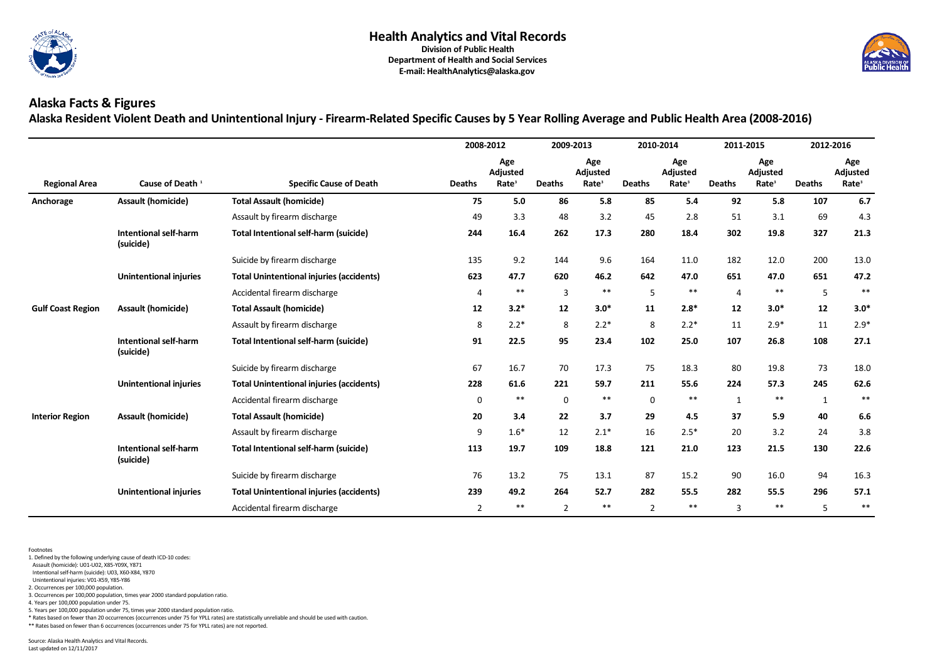

# **Alaska Facts & Figures Alaska Resident Violent Death and Unintentional Injury - Firearm-Related Specific Causes by 5 Year Rolling Average and Public Health Area (2008-2016)**

|                          |                                           |                                                 |                | 2008-2012                            | 2009-2013      |                                      |                | 2010-2014                            |                | 2011-2015                            |               | 2012-2016                                   |
|--------------------------|-------------------------------------------|-------------------------------------------------|----------------|--------------------------------------|----------------|--------------------------------------|----------------|--------------------------------------|----------------|--------------------------------------|---------------|---------------------------------------------|
| <b>Regional Area</b>     | Cause of Death <sup>1</sup>               | <b>Specific Cause of Death</b>                  | <b>Deaths</b>  | Age<br>Adjusted<br>Rate <sup>3</sup> | <b>Deaths</b>  | Age<br>Adjusted<br>Rate <sup>3</sup> | <b>Deaths</b>  | Age<br>Adjusted<br>Rate <sup>3</sup> | <b>Deaths</b>  | Age<br>Adjusted<br>Rate <sup>3</sup> | <b>Deaths</b> | Age<br><b>Adjusted</b><br>Rate <sup>3</sup> |
| Anchorage                | <b>Assault (homicide)</b>                 | <b>Total Assault (homicide)</b>                 | 75             | 5.0                                  | 86             | 5.8                                  | 85             | 5.4                                  | 92             | 5.8                                  | 107           | 6.7                                         |
|                          |                                           | Assault by firearm discharge                    | 49             | 3.3                                  | 48             | 3.2                                  | 45             | 2.8                                  | 51             | 3.1                                  | 69            | 4.3                                         |
|                          | <b>Intentional self-harm</b><br>(suicide) | <b>Total Intentional self-harm (suicide)</b>    | 244            | 16.4                                 | 262            | 17.3                                 | 280            | 18.4                                 | 302            | 19.8                                 | 327           | 21.3                                        |
|                          |                                           | Suicide by firearm discharge                    | 135            | 9.2                                  | 144            | 9.6                                  | 164            | 11.0                                 | 182            | 12.0                                 | 200           | 13.0                                        |
|                          | <b>Unintentional injuries</b>             | <b>Total Unintentional injuries (accidents)</b> | 623            | 47.7                                 | 620            | 46.2                                 | 642            | 47.0                                 | 651            | 47.0                                 | 651           | 47.2                                        |
|                          |                                           | Accidental firearm discharge                    | $\overline{4}$ | $***$                                | $\overline{3}$ | $***$                                | 5              | $***$                                | $\overline{4}$ | **                                   | 5             | $***$                                       |
| <b>Gulf Coast Region</b> | <b>Assault (homicide)</b>                 | <b>Total Assault (homicide)</b>                 | 12             | $3.2*$                               | 12             | $3.0*$                               | 11             | $2.8*$                               | 12             | $3.0*$                               | 12            | $3.0*$                                      |
|                          |                                           | Assault by firearm discharge                    | 8              | $2.2*$                               | 8              | $2.2*$                               | 8              | $2.2*$                               | 11             | $2.9*$                               | 11            | $2.9*$                                      |
|                          | <b>Intentional self-harm</b><br>(suicide) | <b>Total Intentional self-harm (suicide)</b>    | 91             | 22.5                                 | 95             | 23.4                                 | 102            | 25.0                                 | 107            | 26.8                                 | 108           | 27.1                                        |
|                          |                                           | Suicide by firearm discharge                    | 67             | 16.7                                 | 70             | 17.3                                 | 75             | 18.3                                 | 80             | 19.8                                 | 73            | 18.0                                        |
|                          | <b>Unintentional injuries</b>             | <b>Total Unintentional injuries (accidents)</b> | 228            | 61.6                                 | 221            | 59.7                                 | 211            | 55.6                                 | 224            | 57.3                                 | 245           | 62.6                                        |
|                          |                                           | Accidental firearm discharge                    | $\mathbf 0$    | $***$                                | $\mathbf 0$    | $***$                                | $\pmb{0}$      | $***$                                | $\mathbf{1}$   | **                                   | $\mathbf{1}$  | $***$                                       |
| <b>Interior Region</b>   | <b>Assault (homicide)</b>                 | <b>Total Assault (homicide)</b>                 | 20             | 3.4                                  | 22             | 3.7                                  | 29             | 4.5                                  | 37             | 5.9                                  | 40            | 6.6                                         |
|                          |                                           | Assault by firearm discharge                    | 9              | $1.6*$                               | 12             | $2.1*$                               | 16             | $2.5*$                               | 20             | 3.2                                  | 24            | 3.8                                         |
|                          | <b>Intentional self-harm</b><br>(suicide) | <b>Total Intentional self-harm (suicide)</b>    | 113            | 19.7                                 | 109            | 18.8                                 | 121            | 21.0                                 | 123            | 21.5                                 | 130           | 22.6                                        |
|                          |                                           | Suicide by firearm discharge                    | 76             | 13.2                                 | 75             | 13.1                                 | 87             | 15.2                                 | 90             | 16.0                                 | 94            | 16.3                                        |
|                          | <b>Unintentional injuries</b>             | <b>Total Unintentional injuries (accidents)</b> | 239            | 49.2                                 | 264            | 52.7                                 | 282            | 55.5                                 | 282            | 55.5                                 | 296           | 57.1                                        |
|                          |                                           | Accidental firearm discharge                    | $2^{\circ}$    | $***$                                | $\overline{2}$ | $***$                                | $\overline{2}$ | $***$                                | $\overline{3}$ | $***$                                | 5             | $***$                                       |

Footnotes

1. Defined by the following underlying cause of death ICD-10 codes:

Assault (homicide): U01-U02, X85-Y09X, Y871

Intentional self-harm (suicide): U03, X60-X84, Y870

Unintentional injuries: V01-X59, Y85-Y86

2. Occurrences per 100,000 population. 3. Occurrences per 100,000 population, times year 2000 standard population ratio.

4. Years per 100,000 population under 75.

5. Years per 100,000 population under 75, times year 2000 standard population ratio.

\* Rates based on fewer than 20 occurrences (occurrences under 75 for YPLL rates) are statistically unreliable and should be used with caution.

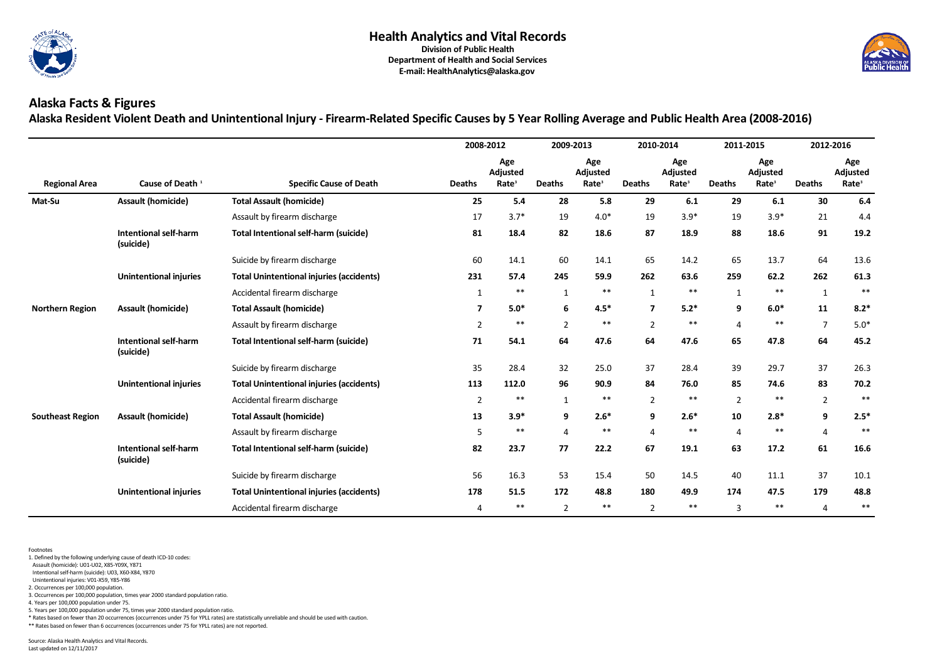

# **Alaska Facts & Figures Alaska Resident Violent Death and Unintentional Injury - Firearm-Related Specific Causes by 5 Year Rolling Average and Public Health Area (2008-2016)**

|                         |                                           |                                                 |                | 2008-2012                            | 2009-2013      |                                      |                         | 2010-2014                            |                | 2011-2015                            |                | 2012-2016                                   |
|-------------------------|-------------------------------------------|-------------------------------------------------|----------------|--------------------------------------|----------------|--------------------------------------|-------------------------|--------------------------------------|----------------|--------------------------------------|----------------|---------------------------------------------|
| <b>Regional Area</b>    | Cause of Death <sup>1</sup>               | <b>Specific Cause of Death</b>                  | <b>Deaths</b>  | Age<br>Adjusted<br>Rate <sup>3</sup> | <b>Deaths</b>  | Age<br>Adjusted<br>Rate <sup>3</sup> | <b>Deaths</b>           | Age<br>Adjusted<br>Rate <sup>3</sup> | <b>Deaths</b>  | Age<br>Adjusted<br>Rate <sup>3</sup> | <b>Deaths</b>  | Age<br><b>Adjusted</b><br>Rate <sup>3</sup> |
| Mat-Su                  | <b>Assault (homicide)</b>                 | <b>Total Assault (homicide)</b>                 | 25             | 5.4                                  | 28             | 5.8                                  | 29                      | 6.1                                  | 29             | 6.1                                  | 30             | 6.4                                         |
|                         |                                           | Assault by firearm discharge                    | 17             | $3.7*$                               | 19             | $4.0*$                               | 19                      | $3.9*$                               | 19             | $3.9*$                               | 21             | 4.4                                         |
|                         | <b>Intentional self-harm</b><br>(suicide) | <b>Total Intentional self-harm (suicide)</b>    | 81             | 18.4                                 | 82             | 18.6                                 | 87                      | 18.9                                 | 88             | 18.6                                 | 91             | 19.2                                        |
|                         |                                           | Suicide by firearm discharge                    | 60             | 14.1                                 | 60             | 14.1                                 | 65                      | 14.2                                 | 65             | 13.7                                 | 64             | 13.6                                        |
|                         | <b>Unintentional injuries</b>             | <b>Total Unintentional injuries (accidents)</b> | 231            | 57.4                                 | 245            | 59.9                                 | 262                     | 63.6                                 | 259            | 62.2                                 | 262            | 61.3                                        |
|                         |                                           | Accidental firearm discharge                    | $\mathbf{1}$   | $***$                                | $\mathbf{1}$   | $***$                                | $\mathbf{1}$            | $***$                                | $\mathbf{1}$   | $***$                                | $\mathbf{1}$   | $***$                                       |
| <b>Northern Region</b>  | <b>Assault (homicide)</b>                 | <b>Total Assault (homicide)</b>                 | $\overline{7}$ | $5.0*$                               | 6              | $4.5*$                               | $\overline{\mathbf{z}}$ | $5.2*$                               | 9              | $6.0*$                               | 11             | $8.2*$                                      |
|                         |                                           | Assault by firearm discharge                    | $\overline{2}$ | $***$                                | $\overline{2}$ | $***$                                | $\overline{2}$          | $***$                                | $\overline{4}$ | $***$                                | $\overline{7}$ | $5.0*$                                      |
|                         | <b>Intentional self-harm</b><br>(suicide) | <b>Total Intentional self-harm (suicide)</b>    | 71             | 54.1                                 | 64             | 47.6                                 | 64                      | 47.6                                 | 65             | 47.8                                 | 64             | 45.2                                        |
|                         |                                           | Suicide by firearm discharge                    | 35             | 28.4                                 | 32             | 25.0                                 | 37                      | 28.4                                 | 39             | 29.7                                 | 37             | 26.3                                        |
|                         | <b>Unintentional injuries</b>             | <b>Total Unintentional injuries (accidents)</b> | 113            | 112.0                                | 96             | 90.9                                 | 84                      | 76.0                                 | 85             | 74.6                                 | 83             | 70.2                                        |
|                         |                                           | Accidental firearm discharge                    | $\overline{2}$ | $***$                                | $\mathbf{1}$   | $***$                                | $\overline{2}$          | $***$                                | $\overline{2}$ | $***$                                | $2^{\circ}$    | $***$                                       |
| <b>Southeast Region</b> | <b>Assault (homicide)</b>                 | <b>Total Assault (homicide)</b>                 | 13             | $3.9*$                               | 9              | $2.6*$                               | 9                       | $2.6*$                               | 10             | $2.8*$                               | 9              | $2.5*$                                      |
|                         |                                           | Assault by firearm discharge                    | 5              | $***$                                | 4              | $***$                                | $\Delta$                | $***$                                | $\overline{4}$ | $***$                                | $\overline{4}$ | $***$                                       |
|                         | Intentional self-harm<br>(suicide)        | <b>Total Intentional self-harm (suicide)</b>    | 82             | 23.7                                 | 77             | 22.2                                 | 67                      | 19.1                                 | 63             | 17.2                                 | 61             | 16.6                                        |
|                         |                                           | Suicide by firearm discharge                    | 56             | 16.3                                 | 53             | 15.4                                 | 50                      | 14.5                                 | 40             | 11.1                                 | 37             | 10.1                                        |
|                         | <b>Unintentional injuries</b>             | <b>Total Unintentional injuries (accidents)</b> | 178            | 51.5                                 | 172            | 48.8                                 | 180                     | 49.9                                 | 174            | 47.5                                 | 179            | 48.8                                        |
|                         |                                           | Accidental firearm discharge                    | 4              | $***$                                | $\overline{2}$ | $***$                                | $\overline{2}$          | $***$                                | $\overline{3}$ | $***$                                | $\overline{4}$ | $***$                                       |

Footnotes

1. Defined by the following underlying cause of death ICD-10 codes:

Assault (homicide): U01-U02, X85-Y09X, Y871

Intentional self-harm (suicide): U03, X60-X84, Y870

Unintentional injuries: V01-X59, Y85-Y86

2. Occurrences per 100,000 population.

3. Occurrences per 100,000 population, times year 2000 standard population ratio.

4. Years per 100,000 population under 75.

5. Years per 100,000 population under 75, times year 2000 standard population ratio.

\* Rates based on fewer than 20 occurrences (occurrences under 75 for YPLL rates) are statistically unreliable and should be used with caution.